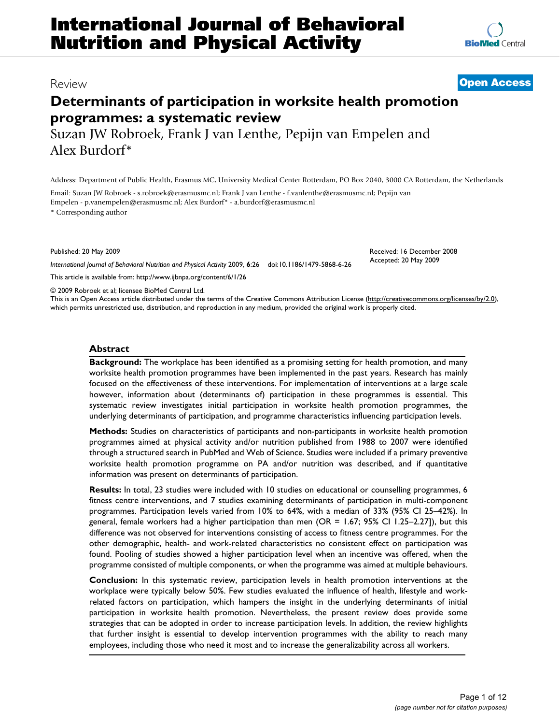# **Determinants of participation in worksite health promotion programmes: a systematic review**

Suzan JW Robroek, Frank J van Lenthe, Pepijn van Empelen and Alex Burdorf\*

Address: Department of Public Health, Erasmus MC, University Medical Center Rotterdam, PO Box 2040, 3000 CA Rotterdam, the Netherlands

Email: Suzan JW Robroek - s.robroek@erasmusmc.nl; Frank J van Lenthe - f.vanlenthe@erasmusmc.nl; Pepijn van Empelen - p.vanempelen@erasmusmc.nl; Alex Burdorf\* - a.burdorf@erasmusmc.nl

\* Corresponding author

Published: 20 May 2009

*International Journal of Behavioral Nutrition and Physical Activity* 2009, **6**:26 doi:10.1186/1479-5868-6-26

[This article is available from: http://www.ijbnpa.org/content/6/1/26](http://www.ijbnpa.org/content/6/1/26)

© 2009 Robroek et al; licensee BioMed Central Ltd.

This is an Open Access article distributed under the terms of the Creative Commons Attribution License [\(http://creativecommons.org/licenses/by/2.0\)](http://creativecommons.org/licenses/by/2.0), which permits unrestricted use, distribution, and reproduction in any medium, provided the original work is properly cited.

#### **Abstract**

**Background:** The workplace has been identified as a promising setting for health promotion, and many worksite health promotion programmes have been implemented in the past years. Research has mainly focused on the effectiveness of these interventions. For implementation of interventions at a large scale however, information about (determinants of) participation in these programmes is essential. This systematic review investigates initial participation in worksite health promotion programmes, the underlying determinants of participation, and programme characteristics influencing participation levels.

**Methods:** Studies on characteristics of participants and non-participants in worksite health promotion programmes aimed at physical activity and/or nutrition published from 1988 to 2007 were identified through a structured search in PubMed and Web of Science. Studies were included if a primary preventive worksite health promotion programme on PA and/or nutrition was described, and if quantitative information was present on determinants of participation.

**Results:** In total, 23 studies were included with 10 studies on educational or counselling programmes, 6 fitness centre interventions, and 7 studies examining determinants of participation in multi-component programmes. Participation levels varied from 10% to 64%, with a median of 33% (95% CI 25–42%). In general, female workers had a higher participation than men (OR = 1.67; 95% CI 1.25–2.27]), but this difference was not observed for interventions consisting of access to fitness centre programmes. For the other demographic, health- and work-related characteristics no consistent effect on participation was found. Pooling of studies showed a higher participation level when an incentive was offered, when the programme consisted of multiple components, or when the programme was aimed at multiple behaviours.

**Conclusion:** In this systematic review, participation levels in health promotion interventions at the workplace were typically below 50%. Few studies evaluated the influence of health, lifestyle and workrelated factors on participation, which hampers the insight in the underlying determinants of initial participation in worksite health promotion. Nevertheless, the present review does provide some strategies that can be adopted in order to increase participation levels. In addition, the review highlights that further insight is essential to develop intervention programmes with the ability to reach many employees, including those who need it most and to increase the generalizability across all workers.

# Review **[Open Access](http://www.biomedcentral.com/info/about/charter/)**

Received: 16 December 2008 Accepted: 20 May 2009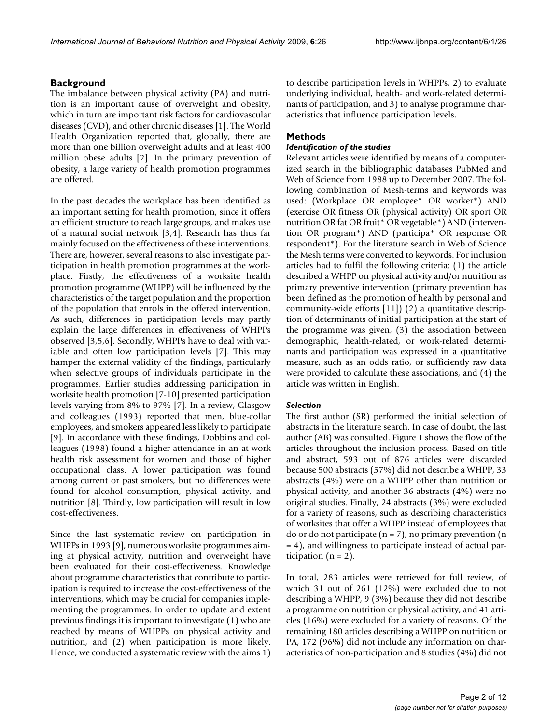# **Background**

The imbalance between physical activity (PA) and nutrition is an important cause of overweight and obesity, which in turn are important risk factors for cardiovascular diseases (CVD), and other chronic diseases [1]. The World Health Organization reported that, globally, there are more than one billion overweight adults and at least 400 million obese adults [2]. In the primary prevention of obesity, a large variety of health promotion programmes are offered.

In the past decades the workplace has been identified as an important setting for health promotion, since it offers an efficient structure to reach large groups, and makes use of a natural social network [3,4]. Research has thus far mainly focused on the effectiveness of these interventions. There are, however, several reasons to also investigate participation in health promotion programmes at the workplace. Firstly, the effectiveness of a worksite health promotion programme (WHPP) will be influenced by the characteristics of the target population and the proportion of the population that enrols in the offered intervention. As such, differences in participation levels may partly explain the large differences in effectiveness of WHPPs observed [3,5,6]. Secondly, WHPPs have to deal with variable and often low participation levels [7]. This may hamper the external validity of the findings, particularly when selective groups of individuals participate in the programmes. Earlier studies addressing participation in worksite health promotion [7-10] presented participation levels varying from 8% to 97% [7]. In a review, Glasgow and colleagues (1993) reported that men, blue-collar employees, and smokers appeared less likely to participate [9]. In accordance with these findings, Dobbins and colleagues (1998) found a higher attendance in an at-work health risk assessment for women and those of higher occupational class. A lower participation was found among current or past smokers, but no differences were found for alcohol consumption, physical activity, and nutrition [8]. Thirdly, low participation will result in low cost-effectiveness.

Since the last systematic review on participation in WHPPs in 1993 [9], numerous worksite programmes aiming at physical activity, nutrition and overweight have been evaluated for their cost-effectiveness. Knowledge about programme characteristics that contribute to participation is required to increase the cost-effectiveness of the interventions, which may be crucial for companies implementing the programmes. In order to update and extent previous findings it is important to investigate (1) who are reached by means of WHPPs on physical activity and nutrition, and (2) when participation is more likely. Hence, we conducted a systematic review with the aims 1) to describe participation levels in WHPPs, 2) to evaluate underlying individual, health- and work-related determinants of participation, and 3) to analyse programme characteristics that influence participation levels.

# **Methods**

# *Identification of the studies*

Relevant articles were identified by means of a computerized search in the bibliographic databases PubMed and Web of Science from 1988 up to December 2007. The following combination of Mesh-terms and keywords was used: (Workplace OR employee\* OR worker\*) AND (exercise OR fitness OR (physical activity) OR sport OR nutrition OR fat OR fruit\* OR vegetable\*) AND (intervention OR program\*) AND (participa\* OR response OR respondent\*). For the literature search in Web of Science the Mesh terms were converted to keywords. For inclusion articles had to fulfil the following criteria: (1) the article described a WHPP on physical activity and/or nutrition as primary preventive intervention (primary prevention has been defined as the promotion of health by personal and community-wide efforts [11]) (2) a quantitative description of determinants of initial participation at the start of the programme was given, (3) the association between demographic, health-related, or work-related determinants and participation was expressed in a quantitative measure, such as an odds ratio, or sufficiently raw data were provided to calculate these associations, and (4) the article was written in English.

# *Selection*

The first author (SR) performed the initial selection of abstracts in the literature search. In case of doubt, the last author (AB) was consulted. Figure 1 shows the flow of the articles throughout the inclusion process. Based on title and abstract, 593 out of 876 articles were discarded because 500 abstracts (57%) did not describe a WHPP, 33 abstracts (4%) were on a WHPP other than nutrition or physical activity, and another 36 abstracts (4%) were no original studies. Finally, 24 abstracts (3%) were excluded for a variety of reasons, such as describing characteristics of worksites that offer a WHPP instead of employees that do or do not participate ( $n = 7$ ), no primary prevention ( $n = 1$ = 4), and willingness to participate instead of actual participation  $(n = 2)$ .

In total, 283 articles were retrieved for full review, of which 31 out of 261 (12%) were excluded due to not describing a WHPP, 9 (3%) because they did not describe a programme on nutrition or physical activity, and 41 articles (16%) were excluded for a variety of reasons. Of the remaining 180 articles describing a WHPP on nutrition or PA, 172 (96%) did not include any information on characteristics of non-participation and 8 studies (4%) did not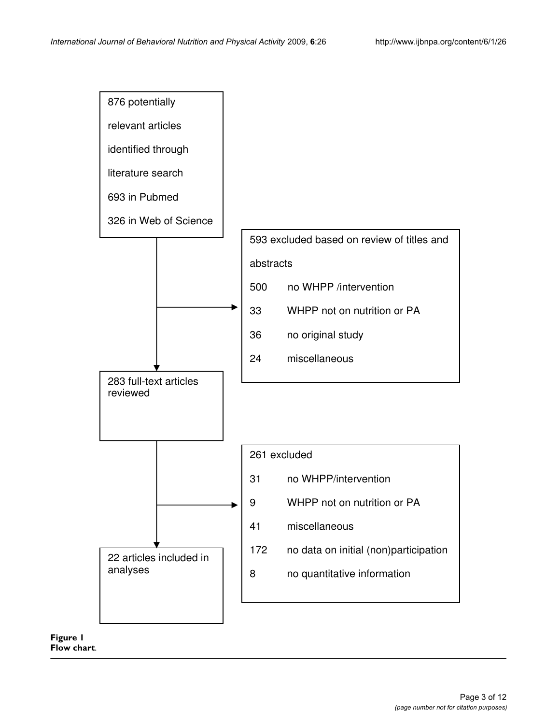

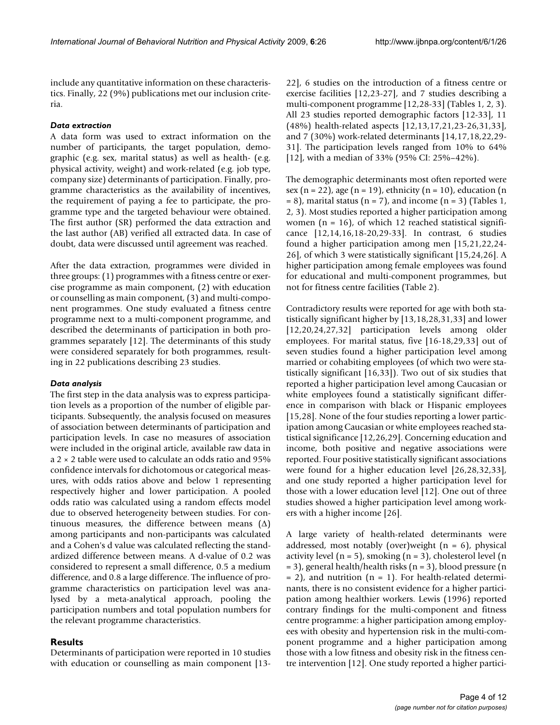include any quantitative information on these characteristics. Finally, 22 (9%) publications met our inclusion criteria.

# *Data extraction*

A data form was used to extract information on the number of participants, the target population, demographic (e.g. sex, marital status) as well as health- (e.g. physical activity, weight) and work-related (e.g. job type, company size) determinants of participation. Finally, programme characteristics as the availability of incentives, the requirement of paying a fee to participate, the programme type and the targeted behaviour were obtained. The first author (SR) performed the data extraction and the last author (AB) verified all extracted data. In case of doubt, data were discussed until agreement was reached.

After the data extraction, programmes were divided in three groups: (1) programmes with a fitness centre or exercise programme as main component, (2) with education or counselling as main component, (3) and multi-component programmes. One study evaluated a fitness centre programme next to a multi-component programme, and described the determinants of participation in both programmes separately [12]. The determinants of this study were considered separately for both programmes, resulting in 22 publications describing 23 studies.

# *Data analysis*

The first step in the data analysis was to express participation levels as a proportion of the number of eligible participants. Subsequently, the analysis focused on measures of association between determinants of participation and participation levels. In case no measures of association were included in the original article, available raw data in a 2 × 2 table were used to calculate an odds ratio and 95% confidence intervals for dichotomous or categorical measures, with odds ratios above and below 1 representing respectively higher and lower participation. A pooled odds ratio was calculated using a random effects model due to observed heterogeneity between studies. For continuous measures, the difference between means  $(Δ)$ among participants and non-participants was calculated and a Cohen's d value was calculated reflecting the standardized difference between means. A d-value of 0.2 was considered to represent a small difference, 0.5 a medium difference, and 0.8 a large difference. The influence of programme characteristics on participation level was analysed by a meta-analytical approach, pooling the participation numbers and total population numbers for the relevant programme characteristics.

# **Results**

Determinants of participation were reported in 10 studies with education or counselling as main component [1322], 6 studies on the introduction of a fitness centre or exercise facilities [12,23-27], and 7 studies describing a multi-component programme [12,28-33] (Tables 1, 2, 3). All 23 studies reported demographic factors [12-33], 11 (48%) health-related aspects [12,13,17,21,23-26,31,33], and 7 (30%) work-related determinants [14,17,18,22,29- 31]. The participation levels ranged from 10% to 64% [12], with a median of 33% (95% CI: 25%–42%).

The demographic determinants most often reported were sex (n = 22), age (n = 19), ethnicity (n = 10), education (n  $= 8$ ), marital status (n = 7), and income (n = 3) (Tables 1, 2, 3). Most studies reported a higher participation among women ( $n = 16$ ), of which 12 reached statistical significance [12,14,16,18-20,29-33]. In contrast, 6 studies found a higher participation among men [15,21,22,24- 26], of which 3 were statistically significant [15,24,26]. A higher participation among female employees was found for educational and multi-component programmes, but not for fitness centre facilities (Table 2).

Contradictory results were reported for age with both statistically significant higher by [13,18,28,31,33] and lower [12,20,24,27,32] participation levels among older employees. For marital status, five [16-18,29,33] out of seven studies found a higher participation level among married or cohabiting employees (of which two were statistically significant [16,33]). Two out of six studies that reported a higher participation level among Caucasian or white employees found a statistically significant difference in comparison with black or Hispanic employees [15,28]. None of the four studies reporting a lower participation among Caucasian or white employees reached statistical significance [12,26,29]. Concerning education and income, both positive and negative associations were reported. Four positive statistically significant associations were found for a higher education level [26,28,32,33], and one study reported a higher participation level for those with a lower education level [12]. One out of three studies showed a higher participation level among workers with a higher income [26].

A large variety of health-related determinants were addressed, most notably (over)weight  $(n = 6)$ , physical activity level ( $n = 5$ ), smoking ( $n = 3$ ), cholesterol level ( $n = 1$ = 3), general health/health risks (n = 3), blood pressure (n  $= 2$ ), and nutrition (n  $= 1$ ). For health-related determinants, there is no consistent evidence for a higher participation among healthier workers. Lewis (1996) reported contrary findings for the multi-component and fitness centre programme: a higher participation among employees with obesity and hypertension risk in the multi-component programme and a higher participation among those with a low fitness and obesity risk in the fitness centre intervention [12]. One study reported a higher partici-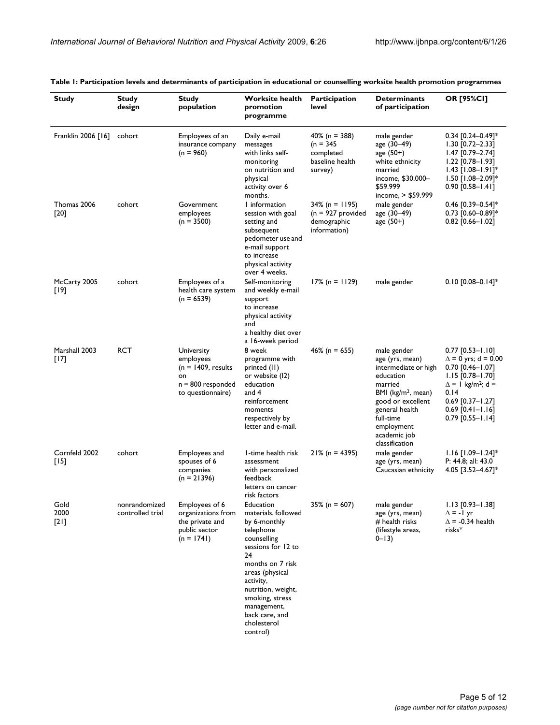| <b>Study</b>              | <b>Study</b><br>design            | <b>Study</b><br>population                                                                        | <b>Worksite health</b><br>promotion<br>programme                                                                                                                                                                                                                  | Participation<br>level                                                  | <b>Determinants</b><br>of participation                                                                                                                                                                              | <b>OR [95%CI]</b>                                                                                                                                                                                              |
|---------------------------|-----------------------------------|---------------------------------------------------------------------------------------------------|-------------------------------------------------------------------------------------------------------------------------------------------------------------------------------------------------------------------------------------------------------------------|-------------------------------------------------------------------------|----------------------------------------------------------------------------------------------------------------------------------------------------------------------------------------------------------------------|----------------------------------------------------------------------------------------------------------------------------------------------------------------------------------------------------------------|
| Franklin 2006 [16] cohort |                                   | Employees of an<br>insurance company<br>$(n = 960)$                                               | Daily e-mail<br>messages<br>with links self-<br>monitoring<br>on nutrition and<br>physical<br>activity over 6<br>months.                                                                                                                                          | 40% (n = 388)<br>$(n = 345)$<br>completed<br>baseline health<br>survey) | male gender<br>age (30-49)<br>age (50+)<br>white ethnicity<br>married<br>income, \$30.000-<br>\$59.999<br>income, > \$59.999                                                                                         | $0.34$ [0.24-0.49]*<br>$1.30$ $[0.72 - 2.33]$<br>$1.47$ [0.79-2.74]<br>$1.22$ [0.78-1.93]<br>$1.43$ [1.08-1.91]*<br>$1.50$ [1.08-2.09]*<br>$0.90$ [0.58-1.41]                                                  |
| Thomas 2006<br>$[20]$     | cohort                            | Government<br>employees<br>$(n = 3500)$                                                           | I information<br>session with goal<br>setting and<br>subsequent<br>pedometer use and<br>e-mail support<br>to increase<br>physical activity<br>over 4 weeks.                                                                                                       | $34\%$ (n = 1195)<br>$(n = 927$ provided<br>demographic<br>information) | male gender<br>age (30-49)<br>age (50+)                                                                                                                                                                              | 0.46 $[0.39 - 0.54]$ *<br>$0.73$ [0.60-0.89]*<br>$0.82$ [0.66-1.02]                                                                                                                                            |
| McCarty 2005<br>[19]      | cohort                            | Employees of a<br>health care system<br>$(n = 6539)$                                              | Self-monitoring<br>and weekly e-mail<br>support<br>to increase<br>physical activity<br>and<br>a healthy diet over<br>a 16-week period                                                                                                                             | $17\%$ (n = 1129)                                                       | male gender                                                                                                                                                                                                          | $0.10$ $[0.08 - 0.14]$ <sup>*</sup>                                                                                                                                                                            |
| Marshall 2003<br>[17]     | <b>RCT</b>                        | University<br>employees<br>$(n = 1409,$ results<br>on<br>$n = 800$ responded<br>to questionnaire) | 8 week<br>programme with<br>printed (II)<br>or website (12)<br>education<br>and 4<br>reinforcement<br>moments<br>respectively by<br>letter and e-mail.                                                                                                            | 46% (n = 655)                                                           | male gender<br>age (yrs, mean)<br>intermediate or high<br>education<br>married<br>BMI (kg/m <sup>2</sup> , mean)<br>good or excellent<br>general health<br>full-time<br>employment<br>academic job<br>classification | 0.77 [0.53-1.10]<br>$\Delta$ = 0 yrs; d = 0.00<br>$0.70$ $[0.46 - 1.07]$<br>$1.15$ [0.78-1.70]<br>$\Delta$ = 1 kg/m <sup>2</sup> ; d =<br>0.14<br>$0.69$ [0.37-1.27]<br>0.69 [0.41-1.16]<br>$0.79$ [0.55-1.14] |
| Cornfeld 2002<br>$[15]$   | cohort                            | Employees and<br>spouses of 6<br>companies<br>$(n = 21396)$                                       | I-time health risk<br>assessment<br>with personalized<br>feedback<br>letters on cancer<br>risk factors                                                                                                                                                            | $21\%$ (n = 4395)                                                       | male gender<br>age (yrs, mean)<br>Caucasian ethnicity                                                                                                                                                                | $1.16$ $[1.09 - 1.24]$ *<br>P: 44.8; all: 43.0<br>4.05 [3.52-4.67]*                                                                                                                                            |
| Gold<br>2000<br>$[2]$     | nonrandomized<br>controlled trial | Employees of 6<br>organizations from<br>the private and<br>public sector<br>$(n = 1741)$          | Education<br>materials, followed<br>by 6-monthly<br>telephone<br>counselling<br>sessions for 12 to<br>24<br>months on 7 risk<br>areas (physical<br>activity,<br>nutrition, weight,<br>smoking, stress<br>management,<br>back care, and<br>cholesterol<br>control) | $35\%$ (n = 607)                                                        | male gender<br>age (yrs, mean)<br># health risks<br>(lifestyle areas,<br>$0 - 13$                                                                                                                                    | $1.13$ [0.93-1.38]<br>$\Delta$ = -1 yr<br>$\Delta$ = -0.34 health<br>risks*                                                                                                                                    |

# **Table 1: Participation levels and determinants of participation in educational or counselling worksite health promotion programmes**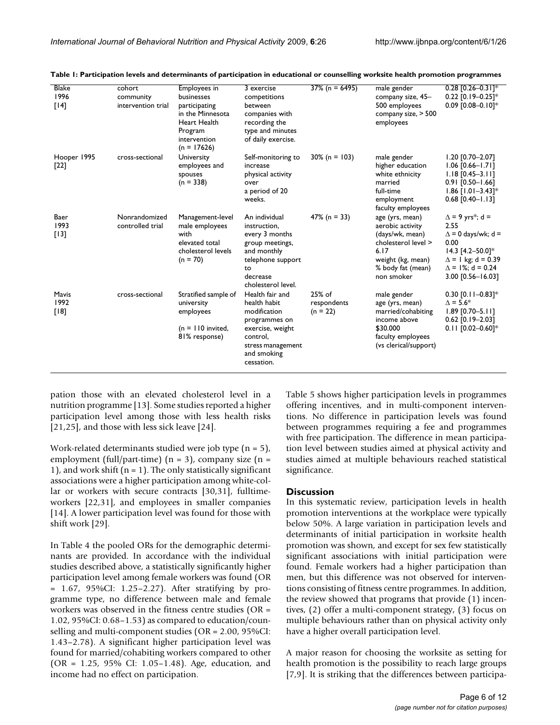| <b>Blake</b><br>1996<br>[14] | cohort<br>community<br>intervention trial | Employees in<br>businesses<br>participating<br>in the Minnesota<br>Heart Health<br>Program<br>intervention<br>$(n = 17626)$ | 3 exercise<br>competitions<br>between<br>companies with<br>recording the<br>type and minutes<br>of daily exercise.                                 | $37\%$ (n = 6495)                     | male gender<br>company size, 45-<br>500 employees<br>company size, > 500<br>employees                                                         | $0.28$ [0.26-0.31] <sup>*</sup><br>$0.22$ [0.19-0.25]*<br>$0.09$ [0.08-0.10]*                                                                                                       |
|------------------------------|-------------------------------------------|-----------------------------------------------------------------------------------------------------------------------------|----------------------------------------------------------------------------------------------------------------------------------------------------|---------------------------------------|-----------------------------------------------------------------------------------------------------------------------------------------------|-------------------------------------------------------------------------------------------------------------------------------------------------------------------------------------|
| Hooper 1995<br>$[22]$        | cross-sectional                           | University<br>employees and<br>spouses<br>$(n = 338)$                                                                       | Self-monitoring to<br>increase<br>physical activity<br>over<br>a period of 20<br>weeks.                                                            | $30\%$ (n = 103)                      | male gender<br>higher education<br>white ethnicity<br>married<br>full-time<br>employment<br>faculty employees                                 | $1.20$ [0.70-2.07]<br>$1.06$ [0.66-1.71]<br>$1.18$ [0.45-3.11]<br>$0.91$ $[0.50 - 1.66]$<br>$1.86$ [1.01-3.43]*<br>$0.68$ $[0.40 - 1.13]$                                           |
| Baer<br>1993<br>$[13]$       | Nonrandomized<br>controlled trial         | Management-level<br>male employees<br>with<br>elevated total<br>cholesterol levels<br>$(n = 70)$                            | An individual<br>instruction,<br>every 3 months<br>group meetings,<br>and monthly<br>telephone support<br>to<br>decrease<br>cholesterol level.     | $47\%$ (n = 33)                       | age (yrs, mean)<br>aerobic activity<br>(days/wk, mean)<br>cholesterol level ><br>6.17<br>weight (kg, mean)<br>% body fat (mean)<br>non smoker | $\Delta$ = 9 yrs <sup>*</sup> ; d =<br>2.55<br>$\Delta$ = 0 days/wk; d =<br>0.00<br>$14.3$ [4.2-50.0]*<br>$\Delta$ = 1 kg; d = 0.39<br>$\Delta$ = 1%; d = 0.24<br>3.00 [0.56-16.03] |
| Mavis<br>1992<br>[18]        | cross-sectional                           | Stratified sample of<br>university<br>employees<br>$(n = 110$ invited,<br>81% response)                                     | Health fair and<br>health habit<br>modification<br>programmes on<br>exercise, weight<br>control,<br>stress management<br>and smoking<br>cessation. | $25%$ of<br>respondents<br>$(n = 22)$ | male gender<br>age (yrs, mean)<br>married/cohabiting<br>income above<br>\$30.000<br>faculty employees<br>(vs clerical/support)                | $0.30$ [0.11-0.83]*<br>$\Delta$ = 5.6*<br>$1.89$ [0.70-5.11]<br>$0.62$ [0.19-2.03]<br>$0.11$ [0.02-0.60]*                                                                           |

| Table 1: Participation levels and determinants of participation in educational or counselling worksite health promotion programmes |  |  |  |
|------------------------------------------------------------------------------------------------------------------------------------|--|--|--|
|------------------------------------------------------------------------------------------------------------------------------------|--|--|--|

pation those with an elevated cholesterol level in a nutrition programme [13]. Some studies reported a higher participation level among those with less health risks [21,25], and those with less sick leave [24].

Work-related determinants studied were job type  $(n = 5)$ , employment (full/part-time) ( $n = 3$ ), company size ( $n =$ 1), and work shift ( $n = 1$ ). The only statistically significant associations were a higher participation among white-collar or workers with secure contracts [30,31], fulltimeworkers [22,31], and employees in smaller companies [14]. A lower participation level was found for those with shift work [29].

In Table 4 the pooled ORs for the demographic determinants are provided. In accordance with the individual studies described above, a statistically significantly higher participation level among female workers was found (OR = 1.67, 95%CI: 1.25–2.27). After stratifying by programme type, no difference between male and female workers was observed in the fitness centre studies (OR = 1.02, 95%CI: 0.68–1.53) as compared to education/counselling and multi-component studies (OR = 2.00, 95%CI: 1.43–2.78). A significant higher participation level was found for married/cohabiting workers compared to other (OR = 1.25, 95% CI: 1.05–1.48). Age, education, and income had no effect on participation.

Table 5 shows higher participation levels in programmes offering incentives, and in multi-component interventions. No difference in participation levels was found between programmes requiring a fee and programmes with free participation. The difference in mean participation level between studies aimed at physical activity and studies aimed at multiple behaviours reached statistical significance.

# **Discussion**

In this systematic review, participation levels in health promotion interventions at the workplace were typically below 50%. A large variation in participation levels and determinants of initial participation in worksite health promotion was shown, and except for sex few statistically significant associations with initial participation were found. Female workers had a higher participation than men, but this difference was not observed for interventions consisting of fitness centre programmes. In addition, the review showed that programs that provide (1) incentives, (2) offer a multi-component strategy, (3) focus on multiple behaviours rather than on physical activity only have a higher overall participation level.

A major reason for choosing the worksite as setting for health promotion is the possibility to reach large groups [7,9]. It is striking that the differences between participa-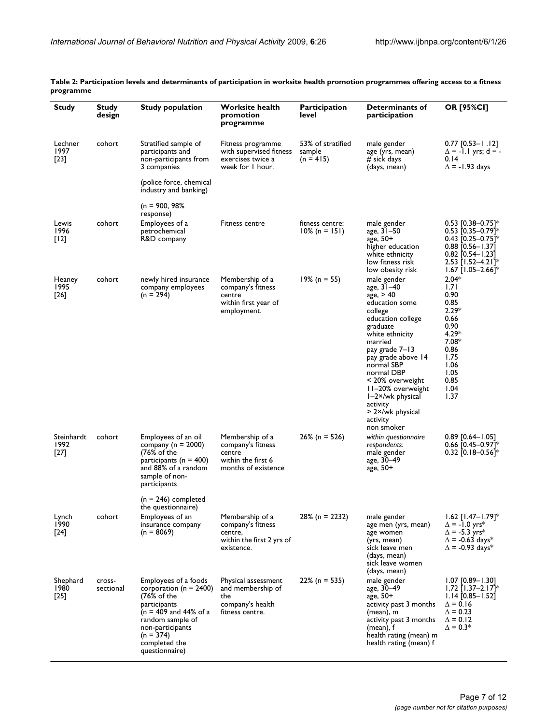| <b>Study</b>                 | <b>Study</b><br>design | <b>Study population</b>                                                                                                                                                                                              | <b>Worksite health</b><br>promotion<br>programme                                            | Participation<br>level                     | Determinants of<br>participation                                                                                                                                                                                                                                                                                                         | <b>OR [95%CI]</b>                                                                                                                                                     |
|------------------------------|------------------------|----------------------------------------------------------------------------------------------------------------------------------------------------------------------------------------------------------------------|---------------------------------------------------------------------------------------------|--------------------------------------------|------------------------------------------------------------------------------------------------------------------------------------------------------------------------------------------------------------------------------------------------------------------------------------------------------------------------------------------|-----------------------------------------------------------------------------------------------------------------------------------------------------------------------|
| Lechner<br>1997<br>$[23]$    | cohort                 | Stratified sample of<br>participants and<br>non-participants from<br>3 companies                                                                                                                                     | Fitness programme<br>with supervised fitness<br>exercises twice a<br>week for I hour.       | 53% of stratified<br>sample<br>$(n = 415)$ | male gender<br>age (yrs, mean)<br># sick days<br>(days, mean)                                                                                                                                                                                                                                                                            | $0.77$ [0.53-1.12]<br>$\Delta$ = -1.1 yrs; d = -<br>0.14<br>$\Delta$ = -1.93 days                                                                                     |
|                              |                        | (police force, chemical<br>industry and banking)                                                                                                                                                                     |                                                                                             |                                            |                                                                                                                                                                                                                                                                                                                                          |                                                                                                                                                                       |
|                              |                        | $(n = 900, 98\%)$<br>response)                                                                                                                                                                                       |                                                                                             |                                            |                                                                                                                                                                                                                                                                                                                                          |                                                                                                                                                                       |
| Lewis<br>1996<br>$[12]$      | cohort                 | Employees of a<br>petrochemical<br>R&D company                                                                                                                                                                       | Fitness centre                                                                              | fitness centre:<br>$10\%$ (n = 151)        | male gender<br>age, 31–50<br>age, 50+<br>higher education<br>white ethnicity<br>low fitness risk<br>low obesity risk                                                                                                                                                                                                                     | $0.53$ [0.38-0.75]*<br>$0.53$ [0.35-0.79] <sup>*</sup><br>$0.43$ [0.25-0.75]*<br>$0.88$ [0.56-1.37]<br>$0.82$ [0.54-1.23]<br>2.53 [1.52-4.21]*<br>$1.67$ [1.05–2.66]* |
| Heaney<br>1995<br>$[26]$     | cohort                 | newly hired insurance<br>company employees<br>$(n = 294)$                                                                                                                                                            | Membership of a<br>company's fitness<br>centre<br>within first year of<br>employment.       | $19\%$ (n = 55)                            | male gender<br>age, 31-40<br>age, $> 40$<br>education some<br>college<br>education college<br>graduate<br>white ethnicity<br>married<br>pay grade 7–13<br>pay grade above 14<br>normal SBP<br>normal DBP<br>< 20% overweight<br>11-20% overweight<br>$1-2 \times$ /wk physical<br>activity<br>> 2×/wk physical<br>activity<br>non smoker | $2.04*$<br>1.71<br>0.90<br>0.85<br>$2.29*$<br>0.66<br>0.90<br>$4.29*$<br>$7.08*$<br>0.86<br>1.75<br>1.06<br>1.05<br>0.85<br>1.04<br>1.37                              |
| Steinhardt<br>1992<br>$[27]$ | cohort                 | Employees of an oil<br>company ( $n = 2000$ )<br>(76% of the<br>participants ( $n = 400$ )<br>and 88% of a random<br>sample of non-<br>participants                                                                  | Membership of a<br>company's fitness<br>centre<br>within the first 6<br>months of existence | $26\%$ (n = 526)                           | within questionnaire<br>respondents:<br>male gender<br>age, 30–49<br>age, $50+$                                                                                                                                                                                                                                                          | $0.89$ [0.64-1.05]<br>$0.66$ [0.45-0.97] <sup>*</sup><br>$0.32$ [0.18-0.56]*                                                                                          |
| Lynch<br>1990<br>$[24]$      | cohort                 | $(n = 246)$ completed<br>the questionnaire)<br>Employees of an<br>insurance company<br>$(n = 8069)$                                                                                                                  | Membership of a<br>company's fitness<br>centre,<br>within the first 2 yrs of<br>existence.  | $28\%$ (n = 2232)                          | male gender<br>age men (yrs, mean)<br>age women<br>(yrs, mean)<br>sick leave men<br>(days, mean)<br>sick leave women<br>(days, mean)                                                                                                                                                                                                     | $1.62$ [1.47–1.79]*<br>$\Delta$ = -1.0 yrs <sup>*</sup><br>$\Delta$ = -5.3 yrs*<br>$\Delta$ = -0.63 days*<br>$\Delta$ = -0.93 days*                                   |
| Shephard<br>1980<br>$[25]$   | cross-<br>sectional    | Employees of a foods<br>corporation ( $n = 2400$ )<br>$(76% \text{ of the})$<br>participants<br>$(n = 409$ and $44\%$ of a<br>random sample of<br>non-participants<br>$(n = 374)$<br>completed the<br>questionnaire) | Physical assessment<br>and membership of<br>the<br>company's health<br>fitness centre.      | $22\%$ (n = 535)                           | male gender<br>age, 30-49<br>age, 50+<br>activity past 3 months<br>(mean), m<br>activity past 3 months<br>(mean), f<br>health rating (mean) m<br>health rating (mean) f                                                                                                                                                                  | $1.07$ [0.89-1.30]<br>$1.72$ [1.37-2.17]*<br>$1.14$ [0.85-1.52]<br>$\Delta$ = 0.16<br>$\Delta$ = 0.23<br>$\Delta$ = 0.12<br>$\Delta$ = 0.3*                           |

**Table 2: Participation levels and determinants of participation in worksite health promotion programmes offering access to a fitness programme**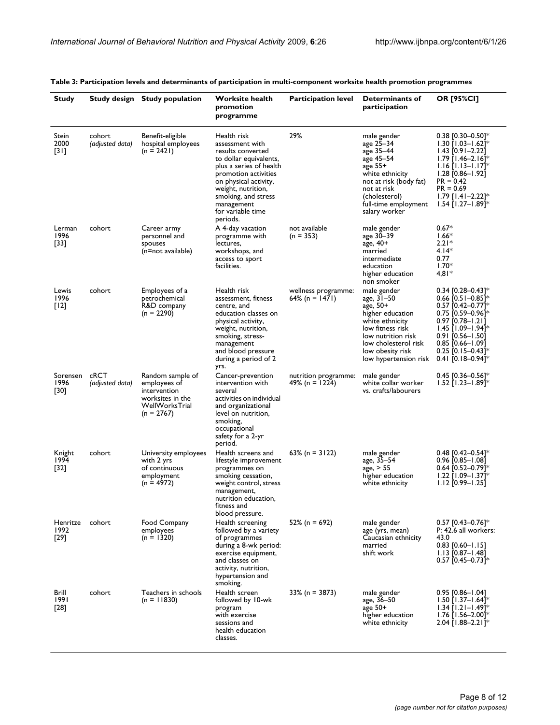| <b>Study</b>               |                           | Study design Study population                                                                          | Worksite health<br>promotion<br>programme                                                                                                                                                                                                             | <b>Participation level</b>             | Determinants of<br>participation                                                                                                                                                            | <b>OR [95%CI]</b>                                                                                                                                                                                                                                       |
|----------------------------|---------------------------|--------------------------------------------------------------------------------------------------------|-------------------------------------------------------------------------------------------------------------------------------------------------------------------------------------------------------------------------------------------------------|----------------------------------------|---------------------------------------------------------------------------------------------------------------------------------------------------------------------------------------------|---------------------------------------------------------------------------------------------------------------------------------------------------------------------------------------------------------------------------------------------------------|
| Stein<br>2000<br>$[31]$    | cohort<br>(adjusted data) | Benefit-eligible<br>hospital employees<br>$(n = 2421)$                                                 | Health risk<br>assessment with<br>results converted<br>to dollar equivalents,<br>plus a series of health<br>promotion activities<br>on physical activity,<br>weight, nutrition,<br>smoking, and stress<br>management<br>for variable time<br>periods. | 29%                                    | male gender<br>age 25–34<br>age 35–44<br>age 45-54<br>age 55+<br>white ethnicity<br>not at risk (body fat)<br>not at risk<br>(cholesterol)<br>full-time employment<br>salary worker         | 0.38 [0.30-0.50]*<br>$1.30$ [1.03-1.62] <sup>*</sup><br>$1.43$ [0.91-2.22]<br>$1.79$ [1.46-2.16] <sup>*</sup><br>$1.16$ [1.13–1.17]*<br>$1.28$ [0.86-1.92]<br>$PR = 0.42$<br>$PR = 0.69$<br>$1.79$ [1.41-2.22]*<br>$1.54$ [1.27–1.89]*                  |
| Lerman<br>1996<br>[33]     | cohort                    | Career army<br>personnel and<br>spouses<br>(n=not available)                                           | A 4-day vacation<br>programme with<br>lectures,<br>workshops, and<br>access to sport<br>facilities.                                                                                                                                                   | not available<br>$(n = 353)$           | male gender<br>age 30–39<br>age, 40+<br>married<br>intermediate<br>education<br>higher education<br>non smoker                                                                              | $0.67*$<br>$1.66*$<br>$2.21*$<br>$4.14*$<br>0.77<br>$1.70*$<br>$4,81*$                                                                                                                                                                                  |
| Lewis<br>1996<br>$[12]$    | cohort                    | Employees of a<br>petrochemical<br>R&D company<br>$(n = 2290)$                                         | Health risk<br>assessment, fitness<br>centre, and<br>education classes on<br>physical activity,<br>weight, nutrition,<br>smoking, stress-<br>management<br>and blood pressure<br>during a period of 2<br>yrs.                                         | wellness programme:<br>64% (n = 1471)  | male gender<br>age, 31–50<br>age, 50+<br>higher education<br>white ethnicity<br>low fitness risk<br>low nutrition risk<br>low cholesterol risk<br>low obesity risk<br>low hypertension risk | $0.34$ [0.28-0.43]*<br>$0.66$ [0.51-0.85] <sup>*</sup><br>$0.57$ [0.42-0.77]*<br>$0.75$ [0.59-0.96]*<br>$0.97$ [0.78-1.21]<br>$1.45$ [1.09-1.94] <sup>*</sup><br>$0.91$ [0.56-1.50]<br>$0.85$ [0.66-1.09]<br>$0.25$ [0.15-0.43]*<br>$0.41$ [0.18-0.94]* |
| Sorensen<br>1996<br>[30]   | cRCT<br>(adjusted data)   | Random sample of<br>employees of<br>intervention<br>worksites in the<br>WellWorksTrial<br>$(n = 2767)$ | Cancer-prevention<br>intervention with<br>several<br>activities on individual<br>and organizational<br>level on nutrition,<br>smoking,<br>occupational<br>safety for a 2-yr<br>period.                                                                | nutrition programme:<br>49% (n = 1224) | male gender<br>white collar worker<br>vs. crafts/labourers                                                                                                                                  | $0.45$ [0.36-0.56] <sup>*</sup><br>$1.52$ [1.23-1.89]*                                                                                                                                                                                                  |
| Knight<br>1994<br>$[32]$   | cohort                    | University employees<br>with 2 yrs<br>of continuous<br>employment<br>$(n = 4972)$                      | Health screens and<br>lifestyle improvement<br>programmes on<br>smoking cessation,<br>weight control, stress<br>management,<br>nutrition education,<br>fitness and<br>blood pressure.                                                                 | 63% (n = 3122)                         | male gender<br>age, 35–54<br>age, $> 55$<br>higher education<br>white ethnicity                                                                                                             | 0.48 $[0.42 - 0.54]$ *<br>$0.96$ [0.85-1.08]<br>$0.64$ [0.52-0.79]*<br>$1.22$ [1.09-1.37]*<br>$1.12$ [0.99-1.25]                                                                                                                                        |
| Henritze<br>1992<br>$[29]$ | cohort                    | Food Company<br>employees<br>$(n = 1320)$                                                              | Health screening<br>followed by a variety<br>of programmes<br>during a 8-wk period:<br>exercise equipment,<br>and classes on<br>activity, nutrition,<br>hypertension and<br>smoking.                                                                  | 52% (n = 692)                          | male gender<br>age (yrs, mean)<br>Caucasian ethnicity<br>married<br>shift work                                                                                                              | $0.57$ [0.43-0.76]*<br>P: 42.6 all workers:<br>43.0<br>$0.83$ [0.60-1.15]<br>$1.13$ [0.87-1.48]<br>$0.57$ [0.45-0.73]*                                                                                                                                  |
| Brill<br>1991<br>$[28]$    | cohort                    | Teachers in schools<br>$(n = 11830)$                                                                   | Health screen<br>followed by 10-wk<br>program<br>with exercise<br>sessions and<br>health education<br>classes.                                                                                                                                        | $33\%$ (n = 3873)                      | male gender<br>age, 36–50<br>age 50+<br>higher education<br>white ethnicity                                                                                                                 | $0.95$ $[0.86 - 1.04]$<br>$1.50$ [1.37-1.64] <sup>*</sup><br>$1.34$ [1.21-1.49]*<br>$1.76$ [1.56-2.00]*<br>$2.04$ [1.88-2.21]*                                                                                                                          |

**Table 3: Participation levels and determinants of participation in multi-component worksite health promotion programmes**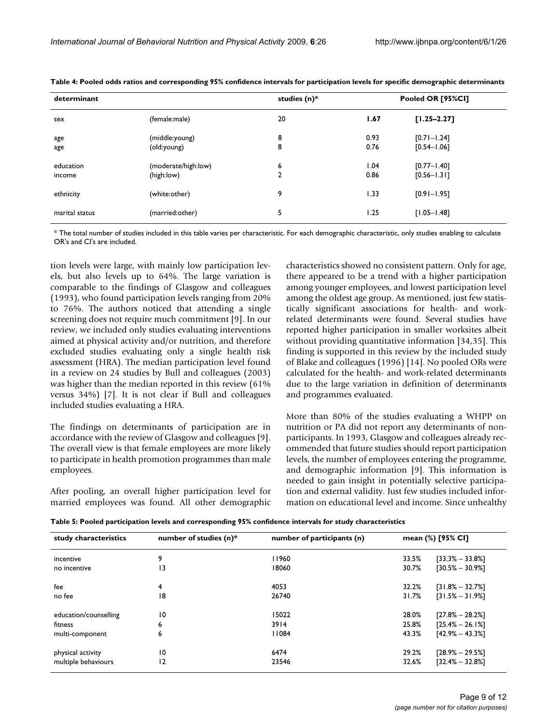| determinant         |                                   | studies (n)* | Pooled OR [95%CI] |                                    |  |
|---------------------|-----------------------------------|--------------|-------------------|------------------------------------|--|
| sex                 | (female:male)                     | 20           | 1.67              | $[1.25 - 2.27]$                    |  |
| age<br>age          | (middle:young)<br>(old:young)     | 8<br>8       | 0.93<br>0.76      | $[0.71 - 1.24]$<br>$[0.54 - 1.06]$ |  |
| education<br>income | (moderate/high:low)<br>(high:low) | 6<br>2       | 1.04<br>0.86      | $[0.77 - 1.40]$<br>$[0.56 - 1.31]$ |  |
| ethnicity           | (white:other)                     | 9            | 1.33              | $[0.91 - 1.95]$                    |  |
| marital status      | (married:other)                   | 5            | 1.25              | $[1.05 - 1.48]$                    |  |

**Table 4: Pooled odds ratios and corresponding 95% confidence intervals for participation levels for specific demographic determinants**

\* The total number of studies included in this table varies per characteristic. For each demographic characteristic, only studies enabling to calculate OR's and CI's are included.

tion levels were large, with mainly low participation levels, but also levels up to 64%. The large variation is comparable to the findings of Glasgow and colleagues (1993), who found participation levels ranging from 20% to 76%. The authors noticed that attending a single screening does not require much commitment [9]. In our review, we included only studies evaluating interventions aimed at physical activity and/or nutrition, and therefore excluded studies evaluating only a single health risk assessment (HRA). The median participation level found in a review on 24 studies by Bull and colleagues (2003) was higher than the median reported in this review (61% versus 34%) [7]. It is not clear if Bull and colleagues included studies evaluating a HRA.

The findings on determinants of participation are in accordance with the review of Glasgow and colleagues [9]. The overall view is that female employees are more likely to participate in health promotion programmes than male employees.

After pooling, an overall higher participation level for married employees was found. All other demographic characteristics showed no consistent pattern. Only for age, there appeared to be a trend with a higher participation among younger employees, and lowest participation level among the oldest age group. As mentioned, just few statistically significant associations for health- and workrelated determinants were found. Several studies have reported higher participation in smaller worksites albeit without providing quantitative information [34,35]. This finding is supported in this review by the included study of Blake and colleagues (1996) [14]. No pooled ORs were calculated for the health- and work-related determinants due to the large variation in definition of determinants and programmes evaluated.

More than 80% of the studies evaluating a WHPP on nutrition or PA did not report any determinants of nonparticipants. In 1993, Glasgow and colleagues already recommended that future studies should report participation levels, the number of employees entering the programme, and demographic information [9]. This information is needed to gain insight in potentially selective participation and external validity. Just few studies included information on educational level and income. Since unhealthy

|  |  |  |  | Table 5: Pooled participation levels and corresponding 95% confidence intervals for study characteristics |  |  |
|--|--|--|--|-----------------------------------------------------------------------------------------------------------|--|--|
|--|--|--|--|-----------------------------------------------------------------------------------------------------------|--|--|

| study characteristics | number of studies (n)* | number of participants (n) | mean (%) [95% CI] |                     |
|-----------------------|------------------------|----------------------------|-------------------|---------------------|
| incentive             | 9                      | 11960                      | 33.5%             | $[33.3\% - 33.8\%]$ |
| no incentive          | $\overline{13}$        | 18060                      | 30.7%             | $[30.5\% - 30.9\%]$ |
| fee                   | 4                      | 4053                       | 32.2%             | $[31.8\% - 32.7\%]$ |
| no fee                | 18                     | 26740                      | 31.7%             | $[31.5\% - 31.9\%]$ |
| education/counselling | 10                     | 15022                      | 28.0%             | $[27.8\% - 28.2\%]$ |
| fitness               | 6                      | 3914                       | 25.8%             | $[25.4\% - 26.1\%]$ |
| multi-component       | 6                      | 11084                      | 43.3%             | $[42.9\% - 43.3\%]$ |
| physical activity     | 10                     | 6474                       | 29.2%             | $[28.9\% - 29.5\%]$ |
| multiple behaviours   | 2                      | 23546                      | 32.6%             | $[32.4\% - 32.8\%]$ |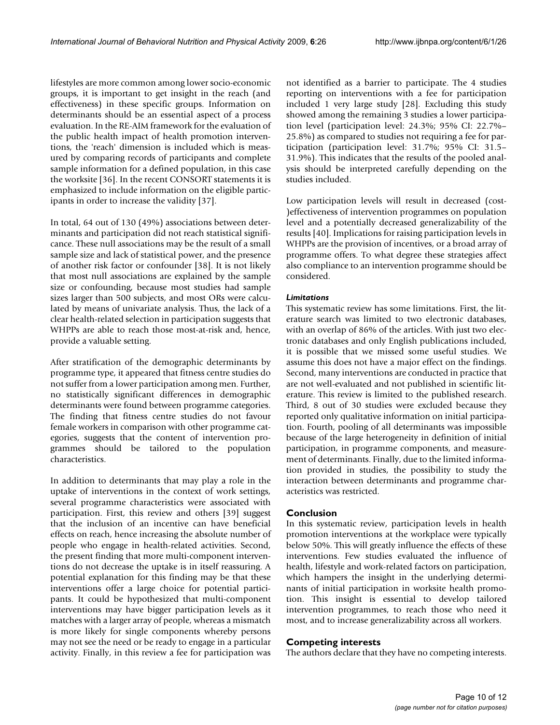lifestyles are more common among lower socio-economic groups, it is important to get insight in the reach (and effectiveness) in these specific groups. Information on determinants should be an essential aspect of a process evaluation. In the RE-AIM framework for the evaluation of the public health impact of health promotion interventions, the 'reach' dimension is included which is measured by comparing records of participants and complete sample information for a defined population, in this case the worksite [36]. In the recent CONSORT statements it is emphasized to include information on the eligible participants in order to increase the validity [37].

In total, 64 out of 130 (49%) associations between determinants and participation did not reach statistical significance. These null associations may be the result of a small sample size and lack of statistical power, and the presence of another risk factor or confounder [38]. It is not likely that most null associations are explained by the sample size or confounding, because most studies had sample sizes larger than 500 subjects, and most ORs were calculated by means of univariate analysis. Thus, the lack of a clear health-related selection in participation suggests that WHPPs are able to reach those most-at-risk and, hence, provide a valuable setting.

After stratification of the demographic determinants by programme type, it appeared that fitness centre studies do not suffer from a lower participation among men. Further, no statistically significant differences in demographic determinants were found between programme categories. The finding that fitness centre studies do not favour female workers in comparison with other programme categories, suggests that the content of intervention programmes should be tailored to the population characteristics.

In addition to determinants that may play a role in the uptake of interventions in the context of work settings, several programme characteristics were associated with participation. First, this review and others [39] suggest that the inclusion of an incentive can have beneficial effects on reach, hence increasing the absolute number of people who engage in health-related activities. Second, the present finding that more multi-component interventions do not decrease the uptake is in itself reassuring. A potential explanation for this finding may be that these interventions offer a large choice for potential participants. It could be hypothesized that multi-component interventions may have bigger participation levels as it matches with a larger array of people, whereas a mismatch is more likely for single components whereby persons may not see the need or be ready to engage in a particular activity. Finally, in this review a fee for participation was not identified as a barrier to participate. The 4 studies reporting on interventions with a fee for participation included 1 very large study [28]. Excluding this study showed among the remaining 3 studies a lower participation level (participation level: 24.3%; 95% CI: 22.7%– 25.8%) as compared to studies not requiring a fee for participation (participation level: 31.7%; 95% CI: 31.5– 31.9%). This indicates that the results of the pooled analysis should be interpreted carefully depending on the studies included.

Low participation levels will result in decreased (cost- )effectiveness of intervention programmes on population level and a potentially decreased generalizability of the results [40]. Implications for raising participation levels in WHPPs are the provision of incentives, or a broad array of programme offers. To what degree these strategies affect also compliance to an intervention programme should be considered.

# *Limitations*

This systematic review has some limitations. First, the literature search was limited to two electronic databases, with an overlap of 86% of the articles. With just two electronic databases and only English publications included, it is possible that we missed some useful studies. We assume this does not have a major effect on the findings. Second, many interventions are conducted in practice that are not well-evaluated and not published in scientific literature. This review is limited to the published research. Third, 8 out of 30 studies were excluded because they reported only qualitative information on initial participation. Fourth, pooling of all determinants was impossible because of the large heterogeneity in definition of initial participation, in programme components, and measurement of determinants. Finally, due to the limited information provided in studies, the possibility to study the interaction between determinants and programme characteristics was restricted.

# **Conclusion**

In this systematic review, participation levels in health promotion interventions at the workplace were typically below 50%. This will greatly influence the effects of these interventions. Few studies evaluated the influence of health, lifestyle and work-related factors on participation, which hampers the insight in the underlying determinants of initial participation in worksite health promotion. This insight is essential to develop tailored intervention programmes, to reach those who need it most, and to increase generalizability across all workers.

# **Competing interests**

The authors declare that they have no competing interests.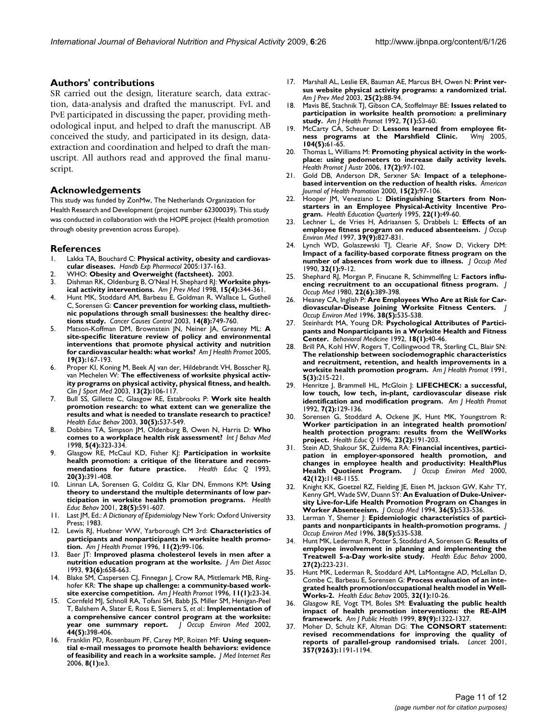### **Authors' contributions**

SR carried out the design, literature search, data extraction, data-analysis and drafted the manuscript. FvL and PvE participated in discussing the paper, providing methodological input, and helped to draft the manuscript. AB conceived the study, and participated in its design, dataextraction and coordination and helped to draft the manuscript. All authors read and approved the final manuscript.

#### **Acknowledgements**

This study was funded by ZonMw, The Netherlands Organization for Health Research and Development (project number 62300039). This study was conducted in collaboration with the HOPE project (Health promotion through obesity prevention across Europe).

#### **References**

- 1. Lakka TA, Bouchard C: **[Physical activity, obesity and cardiovas](http://www.ncbi.nlm.nih.gov/entrez/query.fcgi?cmd=Retrieve&db=PubMed&dopt=Abstract&list_uids=16596798)[cular diseases.](http://www.ncbi.nlm.nih.gov/entrez/query.fcgi?cmd=Retrieve&db=PubMed&dopt=Abstract&list_uids=16596798)** *Handb Exp Pharmacol* 2005:137-163.
- 2. WHO: **Obesity and Overweight (factsheet).** 2003.
- Dishman RK, Oldenburg B, O'Neal H, Shephard RJ: [Worksite phys](http://www.ncbi.nlm.nih.gov/entrez/query.fcgi?cmd=Retrieve&db=PubMed&dopt=Abstract&list_uids=9838977)**[ical activity interventions.](http://www.ncbi.nlm.nih.gov/entrez/query.fcgi?cmd=Retrieve&db=PubMed&dopt=Abstract&list_uids=9838977)** *Am J Prev Med* 1998, **15(4):**344-361.
- 4. Hunt MK, Stoddard AM, Barbeau E, Goldman R, Wallace L, Gutheil C, Sorensen G: **[Cancer prevention for working class, multieth](http://www.ncbi.nlm.nih.gov/entrez/query.fcgi?cmd=Retrieve&db=PubMed&dopt=Abstract&list_uids=14674739)[nic populations through small businesses: the healthy direc](http://www.ncbi.nlm.nih.gov/entrez/query.fcgi?cmd=Retrieve&db=PubMed&dopt=Abstract&list_uids=14674739)[tions study.](http://www.ncbi.nlm.nih.gov/entrez/query.fcgi?cmd=Retrieve&db=PubMed&dopt=Abstract&list_uids=14674739)** *Cancer Causes Control* 2003, **14(8):**749-760.
- 5. Matson-Koffman DM, Brownstein JN, Neiner JA, Greaney ML: **[A](http://www.ncbi.nlm.nih.gov/entrez/query.fcgi?cmd=Retrieve&db=PubMed&dopt=Abstract&list_uids=15693346) [site-specific literature review of policy and environmental](http://www.ncbi.nlm.nih.gov/entrez/query.fcgi?cmd=Retrieve&db=PubMed&dopt=Abstract&list_uids=15693346) interventions that promote physical activity and nutrition [for cardiovascular health: what works?](http://www.ncbi.nlm.nih.gov/entrez/query.fcgi?cmd=Retrieve&db=PubMed&dopt=Abstract&list_uids=15693346)** *Am J Health Promot* 2005, **19(3):**167-193.
- 6. Proper KI, Koning M, Beek AJ van der, Hildebrandt VH, Bosscher RJ, van Mechelen W: **[The effectiveness of worksite physical activ](http://www.ncbi.nlm.nih.gov/entrez/query.fcgi?cmd=Retrieve&db=PubMed&dopt=Abstract&list_uids=12629429)[ity programs on physical activity, physical fitness, and health.](http://www.ncbi.nlm.nih.gov/entrez/query.fcgi?cmd=Retrieve&db=PubMed&dopt=Abstract&list_uids=12629429)** *Clin J Sport Med* 2003, **13(2):**106-117.
- 7. Bull SS, Gillette C, Glasgow RE, Estabrooks P: **[Work site health](http://www.ncbi.nlm.nih.gov/entrez/query.fcgi?cmd=Retrieve&db=PubMed&dopt=Abstract&list_uids=14582596) [promotion research: to what extent can we generalize the](http://www.ncbi.nlm.nih.gov/entrez/query.fcgi?cmd=Retrieve&db=PubMed&dopt=Abstract&list_uids=14582596) results and what is needed to translate research to practice?** *Health Educ Behav* 2003, **30(5):**537-549.
- 8. Dobbins TA, Simpson JM, Oldenburg B, Owen N, Harris D: **[Who](http://www.ncbi.nlm.nih.gov/entrez/query.fcgi?cmd=Retrieve&db=PubMed&dopt=Abstract&list_uids=16250699) [comes to a workplace health risk assessment?](http://www.ncbi.nlm.nih.gov/entrez/query.fcgi?cmd=Retrieve&db=PubMed&dopt=Abstract&list_uids=16250699)** *Int J Behav Med* 1998, **5(4):**323-334.
- 9. Glasgow RE, McCaul KD, Fisher KJ: **[Participation in worksite](http://www.ncbi.nlm.nih.gov/entrez/query.fcgi?cmd=Retrieve&db=PubMed&dopt=Abstract&list_uids=8307762) health promotion: a critique of the literature and recom-<br>mendations for future practice.** Health Educ 0 1993. [mendations for future practice.](http://www.ncbi.nlm.nih.gov/entrez/query.fcgi?cmd=Retrieve&db=PubMed&dopt=Abstract&list_uids=8307762) **20(3):**391-408.
- 10. Linnan LA, Sorensen G, Colditz G, Klar DN, Emmons KM: **[Using](http://www.ncbi.nlm.nih.gov/entrez/query.fcgi?cmd=Retrieve&db=PubMed&dopt=Abstract&list_uids=11575688) [theory to understand the multiple determinants of low par](http://www.ncbi.nlm.nih.gov/entrez/query.fcgi?cmd=Retrieve&db=PubMed&dopt=Abstract&list_uids=11575688)[ticipation in worksite health promotion programs.](http://www.ncbi.nlm.nih.gov/entrez/query.fcgi?cmd=Retrieve&db=PubMed&dopt=Abstract&list_uids=11575688)** *Health Educ Behav* 2001, **28(5):**591-607.
- 11. Last JM, Ed.: *A Dictionary of Epidemiology* New York: Oxford University Press; 1983.
- 12. Lewis RJ, Huebner WW, Yarborough CM 3rd: **[Characteristics of](http://www.ncbi.nlm.nih.gov/entrez/query.fcgi?cmd=Retrieve&db=PubMed&dopt=Abstract&list_uids=10163602) [participants and nonparticipants in worksite health promo](http://www.ncbi.nlm.nih.gov/entrez/query.fcgi?cmd=Retrieve&db=PubMed&dopt=Abstract&list_uids=10163602)[tion.](http://www.ncbi.nlm.nih.gov/entrez/query.fcgi?cmd=Retrieve&db=PubMed&dopt=Abstract&list_uids=10163602)** *Am J Health Promot* 1996, **11(2):**99-106.
- 13. Baer JT: **[Improved plasma cholesterol levels in men after a](http://www.ncbi.nlm.nih.gov/entrez/query.fcgi?cmd=Retrieve&db=PubMed&dopt=Abstract&list_uids=8389779) [nutrition education program at the worksite.](http://www.ncbi.nlm.nih.gov/entrez/query.fcgi?cmd=Retrieve&db=PubMed&dopt=Abstract&list_uids=8389779)** *J Am Diet Assoc* 1993, **93(6):**658-663.
- 14. Blake SM, Caspersen CJ, Finnegan J, Crow RA, Mittlemark MB, Ringhofer KR: **[The shape up challenge: a community-based work](http://www.ncbi.nlm.nih.gov/entrez/query.fcgi?cmd=Retrieve&db=PubMed&dopt=Abstract&list_uids=10163448)[site exercise competition.](http://www.ncbi.nlm.nih.gov/entrez/query.fcgi?cmd=Retrieve&db=PubMed&dopt=Abstract&list_uids=10163448)** *Am J Health Promot* 1996, **11(1):**23-34.
- 15. Cornfeld MJ, Schnoll RA, Tofani SH, Babb JS, Miller SM, Henigan-Peel T, Balshem A, Slater E, Ross E, Siemers S, *et al.*: **[Implementation of](http://www.ncbi.nlm.nih.gov/entrez/query.fcgi?cmd=Retrieve&db=PubMed&dopt=Abstract&list_uids=12024685) [a comprehensive cancer control program at the worksite:](http://www.ncbi.nlm.nih.gov/entrez/query.fcgi?cmd=Retrieve&db=PubMed&dopt=Abstract&list_uids=12024685) [year one summary report.](http://www.ncbi.nlm.nih.gov/entrez/query.fcgi?cmd=Retrieve&db=PubMed&dopt=Abstract&list_uids=12024685)** *J Occup Environ Med* 2002, **44(5):**398-406.
- 16. Franklin PD, Rosenbaum PF, Carey MP, Roizen MF: **[Using sequen](http://www.ncbi.nlm.nih.gov/entrez/query.fcgi?cmd=Retrieve&db=PubMed&dopt=Abstract&list_uids=16585028)[tial e-mail messages to promote health behaviors: evidence](http://www.ncbi.nlm.nih.gov/entrez/query.fcgi?cmd=Retrieve&db=PubMed&dopt=Abstract&list_uids=16585028) [of feasibility and reach in a worksite sample.](http://www.ncbi.nlm.nih.gov/entrez/query.fcgi?cmd=Retrieve&db=PubMed&dopt=Abstract&list_uids=16585028)** *J Med Internet Res* 2006, **8(1):**e3.
- 17. Marshall AL, Leslie ER, Bauman AE, Marcus BH, Owen N: **[Print ver](http://www.ncbi.nlm.nih.gov/entrez/query.fcgi?cmd=Retrieve&db=PubMed&dopt=Abstract&list_uids=12880874)[sus website physical activity programs: a randomized trial.](http://www.ncbi.nlm.nih.gov/entrez/query.fcgi?cmd=Retrieve&db=PubMed&dopt=Abstract&list_uids=12880874)** *Am J Prev Med* 2003, **25(2):**88-94.
- 18. Mavis BE, Stachnik TJ, Gibson CA, Stoffelmayr BE: **[Issues related to](http://www.ncbi.nlm.nih.gov/entrez/query.fcgi?cmd=Retrieve&db=PubMed&dopt=Abstract&list_uids=10146799) [participation in worksite health promotion: a preliminary](http://www.ncbi.nlm.nih.gov/entrez/query.fcgi?cmd=Retrieve&db=PubMed&dopt=Abstract&list_uids=10146799) [study.](http://www.ncbi.nlm.nih.gov/entrez/query.fcgi?cmd=Retrieve&db=PubMed&dopt=Abstract&list_uids=10146799)** *Am J Health Promot* 1992, **7(1):**53-60.
- 19. McCarty CA, Scheuer D: **[Lessons learned from employee fit](http://www.ncbi.nlm.nih.gov/entrez/query.fcgi?cmd=Retrieve&db=PubMed&dopt=Abstract&list_uids=16138518)**[ness programs at the Marshfield Clinic.](http://www.ncbi.nlm.nih.gov/entrez/query.fcgi?cmd=Retrieve&db=PubMed&dopt=Abstract&list_uids=16138518) **104(5):**61-65.
- 20. Thomas L, Williams M: **[Promoting physical activity in the work](http://www.ncbi.nlm.nih.gov/entrez/query.fcgi?cmd=Retrieve&db=PubMed&dopt=Abstract&list_uids=16916311)[place: using pedometers to increase daily activity levels.](http://www.ncbi.nlm.nih.gov/entrez/query.fcgi?cmd=Retrieve&db=PubMed&dopt=Abstract&list_uids=16916311)** *Health Promot J Austr* 2006, **17(2):**97-102.
- 21. Gold DB, Anderson DR, Serxner SA: **[Impact of a telephone](http://www.ncbi.nlm.nih.gov/entrez/query.fcgi?cmd=Retrieve&db=PubMed&dopt=Abstract&list_uids=11194702)[based intervention on the reduction of health risks.](http://www.ncbi.nlm.nih.gov/entrez/query.fcgi?cmd=Retrieve&db=PubMed&dopt=Abstract&list_uids=11194702)** *American Journal of Health Promotion* 2000, **15(2):**97-106.
- 22. Hooper JM, Veneziano L: **[Distinguishing Starters from Non](http://www.ncbi.nlm.nih.gov/entrez/query.fcgi?cmd=Retrieve&db=PubMed&dopt=Abstract&list_uids=7721601)[starters in an Employee Physical-Activity Incentive Pro](http://www.ncbi.nlm.nih.gov/entrez/query.fcgi?cmd=Retrieve&db=PubMed&dopt=Abstract&list_uids=7721601)[gram.](http://www.ncbi.nlm.nih.gov/entrez/query.fcgi?cmd=Retrieve&db=PubMed&dopt=Abstract&list_uids=7721601)** *Health Education Quarterly* 1995, **22(1):**49-60.
- 23. Lechner L, de Vries H, Adriaansen S, Drabbels L: **[Effects of an](http://www.ncbi.nlm.nih.gov/entrez/query.fcgi?cmd=Retrieve&db=PubMed&dopt=Abstract&list_uids=9322165) [employee fitness program on reduced absenteeism.](http://www.ncbi.nlm.nih.gov/entrez/query.fcgi?cmd=Retrieve&db=PubMed&dopt=Abstract&list_uids=9322165)** *J Occup Environ Med* 1997, **39(9):**827-831.
- 24. Lynch WD, Golaszewski TJ, Clearie AF, Snow D, Vickery DM: **[Impact of a facility-based corporate fitness program on the](http://www.ncbi.nlm.nih.gov/entrez/query.fcgi?cmd=Retrieve&db=PubMed&dopt=Abstract&list_uids=2324848) [number of absences from work due to illness.](http://www.ncbi.nlm.nih.gov/entrez/query.fcgi?cmd=Retrieve&db=PubMed&dopt=Abstract&list_uids=2324848)** *J Occup Med* 1990, **32(1):**9-12.
- 25. Shephard RJ, Morgan P, Finucane R, Schimmelfing L: **[Factors influ](http://www.ncbi.nlm.nih.gov/entrez/query.fcgi?cmd=Retrieve&db=PubMed&dopt=Abstract&list_uids=7373453)[encing recruitment to an occupational fitness program.](http://www.ncbi.nlm.nih.gov/entrez/query.fcgi?cmd=Retrieve&db=PubMed&dopt=Abstract&list_uids=7373453)** *J Occup Med* 1980, **22(6):**389-398.
- 26. Heaney CA, Inglish P: **[Are Employees Who Are at Risk for Car](http://www.ncbi.nlm.nih.gov/entrez/query.fcgi?cmd=Retrieve&db=PubMed&dopt=Abstract&list_uids=8733646)[diovascular-Disease Joining Worksite Fitness Centers.](http://www.ncbi.nlm.nih.gov/entrez/query.fcgi?cmd=Retrieve&db=PubMed&dopt=Abstract&list_uids=8733646)** *J Occup Environ Med* 1996, **38(5):**535-538.
- 27. Steinhardt MA, Young DR: **[Psychological Attributes of Partici](http://www.ncbi.nlm.nih.gov/entrez/query.fcgi?cmd=Retrieve&db=PubMed&dopt=Abstract&list_uids=1591444)[pants and Nonparticipants in a Worksite Health and Fitness](http://www.ncbi.nlm.nih.gov/entrez/query.fcgi?cmd=Retrieve&db=PubMed&dopt=Abstract&list_uids=1591444) [Center.](http://www.ncbi.nlm.nih.gov/entrez/query.fcgi?cmd=Retrieve&db=PubMed&dopt=Abstract&list_uids=1591444)** *Behavioral Medicine* 1992, **18(1):**40-46.
- 28. Brill PA, Kohl HW, Rogers T, Collingwood TR, Sterling CL, Blair SN: **[The relationship between sociodemographic characteristics](http://www.ncbi.nlm.nih.gov/entrez/query.fcgi?cmd=Retrieve&db=PubMed&dopt=Abstract&list_uids=10148671) and recruitment, retention, and health improvements in a [worksite health promotion program.](http://www.ncbi.nlm.nih.gov/entrez/query.fcgi?cmd=Retrieve&db=PubMed&dopt=Abstract&list_uids=10148671)** *Am J Health Promot* 1991, **5(3):**215-221.
- 29. Henritze J, Brammell HL, McGloin J: **[LIFECHECK: a successful,](http://www.ncbi.nlm.nih.gov/entrez/query.fcgi?cmd=Retrieve&db=PubMed&dopt=Abstract&list_uids=10148717) [low touch, low tech, in-plant, cardiovascular disease risk](http://www.ncbi.nlm.nih.gov/entrez/query.fcgi?cmd=Retrieve&db=PubMed&dopt=Abstract&list_uids=10148717) [identification and modification program.](http://www.ncbi.nlm.nih.gov/entrez/query.fcgi?cmd=Retrieve&db=PubMed&dopt=Abstract&list_uids=10148717)** *Am J Health Promot* 1992, **7(2):**129-136.
- 30. Sorensen G, Stoddard A, Ockene JK, Hunt MK, Youngstrom R: **[Worker participation in an integrated health promotion/](http://www.ncbi.nlm.nih.gov/entrez/query.fcgi?cmd=Retrieve&db=PubMed&dopt=Abstract&list_uids=8744872) health protection program: results from the WellWorks [project.](http://www.ncbi.nlm.nih.gov/entrez/query.fcgi?cmd=Retrieve&db=PubMed&dopt=Abstract&list_uids=8744872)** *Health Educ Q* 1996, **23(2):**191-203.
- 31. Stein AD, Shakour SK, Zuidema RA: **[Financial incentives, partici](http://www.ncbi.nlm.nih.gov/entrez/query.fcgi?cmd=Retrieve&db=PubMed&dopt=Abstract&list_uids=11125677)[pation in employer-sponsored health promotion, and](http://www.ncbi.nlm.nih.gov/entrez/query.fcgi?cmd=Retrieve&db=PubMed&dopt=Abstract&list_uids=11125677) changes in employee health and productivity: HealthPlus [Health Quotient Program.](http://www.ncbi.nlm.nih.gov/entrez/query.fcgi?cmd=Retrieve&db=PubMed&dopt=Abstract&list_uids=11125677)** *J Occup Environ Med* 2000, **42(12):**1148-1155.
- 32. Knight KK, Goetzel RZ, Fielding JE, Eisen M, Jackson GW, Kahr TY, Kenny GM, Wade SW, Duann SY: **[An Evaluation of Duke-Univer](http://www.ncbi.nlm.nih.gov/entrez/query.fcgi?cmd=Retrieve&db=PubMed&dopt=Abstract&list_uids=8027878)[sity Live-for-Life Health Promotion Program on Changes in](http://www.ncbi.nlm.nih.gov/entrez/query.fcgi?cmd=Retrieve&db=PubMed&dopt=Abstract&list_uids=8027878) [Worker Absenteeism.](http://www.ncbi.nlm.nih.gov/entrez/query.fcgi?cmd=Retrieve&db=PubMed&dopt=Abstract&list_uids=8027878)** *J Occup Med* 1994, **36(5):**533-536.
- 33. Lerman Y, Shemer J: **[Epidemiologic characteristics of partici](http://www.ncbi.nlm.nih.gov/entrez/query.fcgi?cmd=Retrieve&db=PubMed&dopt=Abstract&list_uids=8733646)[pants and nonparticipants in health-promotion programs.](http://www.ncbi.nlm.nih.gov/entrez/query.fcgi?cmd=Retrieve&db=PubMed&dopt=Abstract&list_uids=8733646)** *J Occup Environ Med* 1996, **38(5):**535-538.
- 34. Hunt MK, Lederman R, Potter S, Stoddard A, Sorensen G: **[Results of](http://www.ncbi.nlm.nih.gov/entrez/query.fcgi?cmd=Retrieve&db=PubMed&dopt=Abstract&list_uids=10768803) [employee involvement in planning and implementing the](http://www.ncbi.nlm.nih.gov/entrez/query.fcgi?cmd=Retrieve&db=PubMed&dopt=Abstract&list_uids=10768803) [Treatwell 5-a-Day work-site study.](http://www.ncbi.nlm.nih.gov/entrez/query.fcgi?cmd=Retrieve&db=PubMed&dopt=Abstract&list_uids=10768803)** *Health Educ Behav* 2000, **27(2):**223-231.
- 35. Hunt MK, Lederman R, Stoddard AM, LaMontagne AD, McLellan D, Combe C, Barbeau E, Sorensen G: **[Process evaluation of an inte](http://www.ncbi.nlm.nih.gov/entrez/query.fcgi?cmd=Retrieve&db=PubMed&dopt=Abstract&list_uids=15642751)[grated health promotion/occupational health model in Well-](http://www.ncbi.nlm.nih.gov/entrez/query.fcgi?cmd=Retrieve&db=PubMed&dopt=Abstract&list_uids=15642751)[Works-2.](http://www.ncbi.nlm.nih.gov/entrez/query.fcgi?cmd=Retrieve&db=PubMed&dopt=Abstract&list_uids=15642751)** *Health Educ Behav* 2005, **32(1):**10-26.
- 36. Glasgow RE, Vogt TM, Boles SM: **[Evaluating the public health](http://www.ncbi.nlm.nih.gov/entrez/query.fcgi?cmd=Retrieve&db=PubMed&dopt=Abstract&list_uids=10474547) [impact of health promotion interventions: the RE-AIM](http://www.ncbi.nlm.nih.gov/entrez/query.fcgi?cmd=Retrieve&db=PubMed&dopt=Abstract&list_uids=10474547) [framework.](http://www.ncbi.nlm.nih.gov/entrez/query.fcgi?cmd=Retrieve&db=PubMed&dopt=Abstract&list_uids=10474547)** *Am J Public Health* 1999, **89(9):**1322-1327.
- 37. Moher D, Schulz KF, Altman DG: **[The CONSORT statement:](http://www.ncbi.nlm.nih.gov/entrez/query.fcgi?cmd=Retrieve&db=PubMed&dopt=Abstract&list_uids=11323066) [revised recommendations for improving the quality of](http://www.ncbi.nlm.nih.gov/entrez/query.fcgi?cmd=Retrieve&db=PubMed&dopt=Abstract&list_uids=11323066) [reports of parallel-group randomised trials.](http://www.ncbi.nlm.nih.gov/entrez/query.fcgi?cmd=Retrieve&db=PubMed&dopt=Abstract&list_uids=11323066)** *Lancet* 2001, **357(9263):**1191-1194.